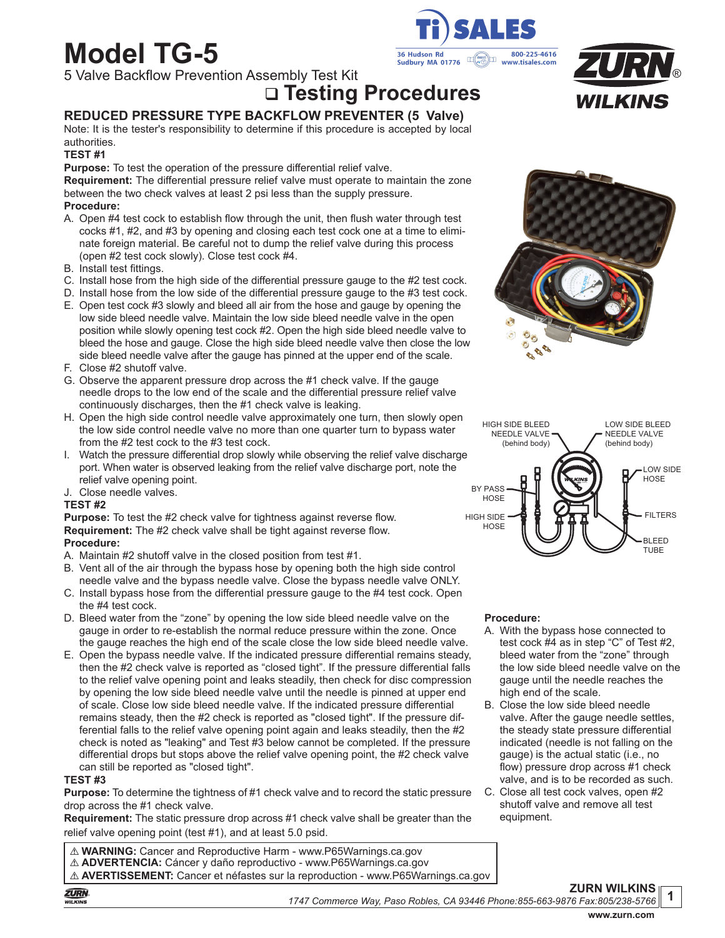# **Model TG-5**

5 Valve Backflow Prevention Assembly Test Kit

**Testing Procedures**

# **REDUCED PRESSURE TYPE BACKFLOW PREVENTER (5 Valve)**

Note: It is the tester's responsibility to determine if this procedure is accepted by local authorities.

## **TEST #1**

**Purpose:** To test the operation of the pressure differential relief valve.

**Requirement:** The differential pressure relief valve must operate to maintain the zone between the two check valves at least 2 psi less than the supply pressure.

## **Procedure:**

- A. Open #4 test cock to establish flow through the unit, then flush water through test cocks #1, #2, and #3 by opening and closing each test cock one at a time to eliminate foreign material. Be careful not to dump the relief valve during this process (open #2 test cock slowly). Close test cock #4.
- B. Install test fittings.
- C. Install hose from the high side of the differential pressure gauge to the #2 test cock.
- D. Install hose from the low side of the differential pressure gauge to the #3 test cock.
- E. Open test cock #3 slowly and bleed all air from the hose and gauge by opening the low side bleed needle valve. Maintain the low side bleed needle valve in the open position while slowly opening test cock #2. Open the high side bleed needle valve to bleed the hose and gauge. Close the high side bleed needle valve then close the low side bleed needle valve after the gauge has pinned at the upper end of the scale.
- F. Close #2 shutoff valve.
- G. Observe the apparent pressure drop across the #1 check valve. If the gauge needle drops to the low end of the scale and the differential pressure relief valve continuously discharges, then the #1 check valve is leaking.
- H. Open the high side control needle valve approximately one turn, then slowly open the low side control needle valve no more than one quarter turn to bypass water from the #2 test cock to the #3 test cock.
- I. Watch the pressure differential drop slowly while observing the relief valve discharge port. When water is observed leaking from the relief valve discharge port, note the relief valve opening point.
- J. Close needle valves.

#### **TEST #2**

**Purpose:** To test the #2 check valve for tightness against reverse flow. **Requirement:** The #2 check valve shall be tight against reverse flow. **Procedure:**

- A. Maintain #2 shutoff valve in the closed position from test #1.
- B. Vent all of the air through the bypass hose by opening both the high side control needle valve and the bypass needle valve. Close the bypass needle valve ONLY.
- C. Install bypass hose from the differential pressure gauge to the #4 test cock. Open the #4 test cock.
- D. Bleed water from the "zone" by opening the low side bleed needle valve on the gauge in order to re-establish the normal reduce pressure within the zone. Once the gauge reaches the high end of the scale close the low side bleed needle valve.
- E. Open the bypass needle valve. If the indicated pressure differential remains steady, then the #2 check valve is reported as "closed tight". If the pressure differential falls to the relief valve opening point and leaks steadily, then check for disc compression by opening the low side bleed needle valve until the needle is pinned at upper end of scale. Close low side bleed needle valve. If the indicated pressure differential remains steady, then the #2 check is reported as "closed tight". If the pressure differential falls to the relief valve opening point again and leaks steadily, then the #2 check is noted as "leaking" and Test #3 below cannot be completed. If the pressure differential drops but stops above the relief valve opening point, the #2 check valve can still be reported as "closed tight".

#### **TEST #3**

**Purpose:** To determine the tightness of #1 check valve and to record the static pressure drop across the #1 check valve.

**Requirement:** The static pressure drop across #1 check valve shall be greater than the relief valve opening point (test #1), and at least 5.0 psid.

! **WARNING:** Cancer and Reproductive Harm - www.P65Warnings.ca.gov ! **ADVERTENCIA:** Cáncer y daño reproductivo - www.P65Warnings.ca.gov ! **AVERTISSEMENT:** Cancer et néfastes sur la reproduction - www.P65Warnings.ca.gov









#### **Procedure:**

- A. With the bypass hose connected to test cock #4 as in step "C" of Test #2, bleed water from the "zone" through the low side bleed needle valve on the gauge until the needle reaches the high end of the scale.
- B. Close the low side bleed needle valve. After the gauge needle settles, the steady state pressure differential indicated (needle is not falling on the gauge) is the actual static (i.e., no flow) pressure drop across #1 check valve, and is to be recorded as such.
- C. Close all test cock valves, open #2 shutoff valve and remove all test equipment.

**ZURN WILKINS** *1747 Commerce Way, Paso Robles, CA 93446 Phone:855-663-9876 Fax:805/238-5766*

**1**

**ZURN** WILKINS